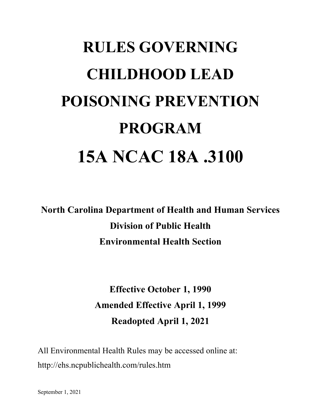# **RULES GOVERNING CHILDHOOD LEAD POISONING PREVENTION PROGRAM 15A NCAC 18A .3100**

**North Carolina Department of Health and Human Services Division of Public Health Environmental Health Section**

> **Effective October 1, 1990 Amended Effective April 1, 1999 Readopted April 1, 2021**

All Environmental Health Rules may be accessed online at: http://ehs.ncpublichealth.com/rules.htm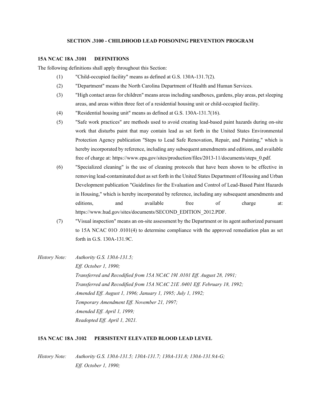### **SECTION .3100 - CHILDHOOD LEAD POISONING PREVENTION PROGRAM**

#### **15A NCAC 18A .3101 DEFINITIONS**

The following definitions shall apply throughout this Section:

- (1) "Child-occupied facility" means as defined at G.S. 130A-131.7(2).
- (2) "Department" means the North Carolina Department of Health and Human Services.
- (3) "High contact areas for children" means areas including sandboxes, gardens, play areas, pet sleeping areas, and areas within three feet of a residential housing unit or child-occupied facility.
- (4) "Residential housing unit" means as defined at G.S. 130A-131.7(16).
- (5) "Safe work practices" are methods used to avoid creating lead-based paint hazards during on-site work that disturbs paint that may contain lead as set forth in the United States Environmental Protection Agency publication "Steps to Lead Safe Renovation, Repair, and Painting," which is hereby incorporated by reference, including any subsequent amendments and editions, and available free of charge at: https://www.epa.gov/sites/production/files/2013-11/documents/steps\_0.pdf.
- (6) "Specialized cleaning" is the use of cleaning protocols that have been shown to be effective in removing lead-contaminated dust as set forth in the United States Department of Housing and Urban Development publication "Guidelines for the Evaluation and Control of Lead-Based Paint Hazards in Housing," which is hereby incorporated by reference, including any subsequent amendments and editions, and available free of charge at: https://www.hud.gov/sites/documents/SECOND\_EDITION\_2012.PDF.
- (7) "Visual inspection" means an on-site assessment by the Department or its agent authorized pursuant to 15A NCAC 01O .0101(4) to determine compliance with the approved remediation plan as set forth in G.S. 130A-131.9C.

*History Note: Authority G.S. 130A-131.5; Eff. October 1, 1990; Transferred and Recodified from 15A NCAC 19I .0101 Eff. August 28, 1991; Transferred and Recodified from 15A NCAC 21E .0401 Eff. February 18, 1992; Amended Eff. August 1, 1996; January 1, 1995; July 1, 1992; Temporary Amendment Eff. November 21, 1997; Amended Eff. April 1, 1999; Readopted Eff. April 1, 2021.*

#### **15A NCAC 18A .3102 PERSISTENT ELEVATED BLOOD LEAD LEVEL**

*History Note: Authority G.S. 130A-131.5; 130A-131.7; 130A-131.8; 130A-131.9A-G; Eff. October 1, 1990;*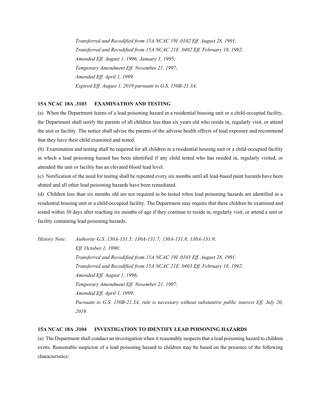*Transferred and Recodified from 15A NCAC 19I .0102 Eff. August 28, 1991; Transferred and Recodified from 15A NCAC 21E .0402 Eff. February 18, 1992; Amended Eff. August 1, 1996; January 1, 1995; Temporary Amendment Eff. November 21, 1997; Amended Eff. April 1, 1999. Expired Eff. August 1, 2019 pursuant to G.S. 150B-21.3A.*

## **15A NCAC 18A .3103 EXAMINATION AND TESTING**

(a) When the Department learns of a lead poisoning hazard in a residential housing unit or a child-occupied facility, the Department shall notify the parents of all children less than six years old who reside in, regularly visit, or attend the unit or facility. The notice shall advise the parents of the adverse health effects of lead exposure and recommend that they have their child examined and tested.

(b) Examination and testing shall be required for all children in a residential housing unit or a child-occupied facility in which a lead poisoning hazard has been identified if any child tested who has resided in, regularly visited, or attended the unit or facility has an elevated blood lead level.

(c) Notification of the need for testing shall be repeated every six months until all lead-based paint hazards have been abated and all other lead poisoning hazards have been remediated.

(d) Children less than six months old are not required to be tested when lead poisoning hazards are identified in a residential housing unit or a child-occupied facility. The Department may require that these children be examined and tested within 30 days after reaching six months of age if they continue to reside in, regularly visit, or attend a unit or facility containing lead poisoning hazards.

*History Note: Authority G.S. 130A-131.5; 130A-131.7; 130A-131.8; 130A-131.9; Eff. October 1, 1990; Transferred and Recodified from 15A NCAC 19I .0103 Eff. August 28, 1991; Transferred and Recodified from 15A NCAC 21E .0403 Eff. February 18, 1992; Amended Eff. August 1, 1996; Temporary Amendment Eff. November 21, 1997; Amended Eff. April 1, 1999; Pursuant to G.S. 150B-21.3A, rule is necessary without substantive public interest Eff. July 20, 2019.*

# **15A NCAC 18A .3104 INVESTIGATION TO IDENTIFY LEAD POISONING HAZARDS**

(a) The Department shall conduct an investigation when it reasonably suspects that a lead poisoning hazard to children exists. Reasonable suspicion of a lead poisoning hazard to children may be based on the presence of the following characteristics: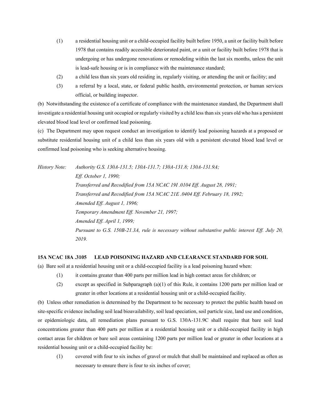- (1) a residential housing unit or a child-occupied facility built before 1950, a unit or facility built before 1978 that contains readily accessible deteriorated paint, or a unit or facility built before 1978 that is undergoing or has undergone renovations or remodeling within the last six months, unless the unit is lead-safe housing or is in compliance with the maintenance standard;
- (2) a child less than six years old residing in, regularly visiting, or attending the unit or facility; and
- (3) a referral by a local, state, or federal public health, environmental protection, or human services official, or building inspector.

(b) Notwithstanding the existence of a certificate of compliance with the maintenance standard, the Department shall investigate a residential housing unit occupied or regularly visited by a child less than six years old who has a persistent elevated blood lead level or confirmed lead poisoning.

(c) The Department may upon request conduct an investigation to identify lead poisoning hazards at a proposed or substitute residential housing unit of a child less than six years old with a persistent elevated blood lead level or confirmed lead poisoning who is seeking alternative housing.

*History Note: Authority G.S. 130A-131.5; 130A-131.7; 130A-131.8; 130A-131.9A; Eff. October 1, 1990; Transferred and Recodified from 15A NCAC 19I .0104 Eff. August 28, 1991; Transferred and Recodified from 15A NCAC 21E .0404 Eff. February 18, 1992; Amended Eff. August 1, 1996; Temporary Amendment Eff. November 21, 1997; Amended Eff. April 1, 1999; Pursuant to G.S. 150B-21.3A, rule is necessary without substantive public interest Eff. July 20, 2019.*

# **15A NCAC 18A .3105 LEAD POISONING HAZARD AND CLEARANCE STANDARD FOR SOIL**

- (a) Bare soil at a residential housing unit or a child-occupied facility is a lead poisoning hazard when:
	- (1) it contains greater than 400 parts per million lead in high contact areas for children; or
	- (2) except as specified in Subparagraph (a)(1) of this Rule, it contains 1200 parts per million lead or greater in other locations at a residential housing unit or a child-occupied facility.

(b) Unless other remediation is determined by the Department to be necessary to protect the public health based on site-specific evidence including soil lead bioavailability, soil lead speciation, soil particle size, land use and condition, or epidemiologic data, all remediation plans pursuant to G.S. 130A-131.9C shall require that bare soil lead concentrations greater than 400 parts per million at a residential housing unit or a child-occupied facility in high contact areas for children or bare soil areas containing 1200 parts per million lead or greater in other locations at a residential housing unit or a child-occupied facility be:

(1) covered with four to six inches of gravel or mulch that shall be maintained and replaced as often as necessary to ensure there is four to six inches of cover;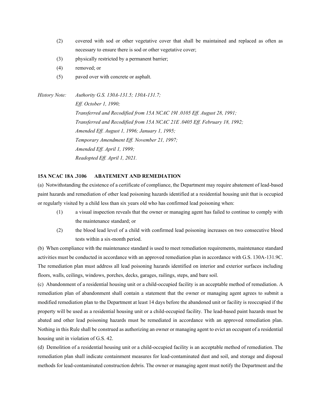- (2) covered with sod or other vegetative cover that shall be maintained and replaced as often as necessary to ensure there is sod or other vegetative cover;
- (3) physically restricted by a permanent barrier;
- (4) removed; or
- (5) paved over with concrete or asphalt.

*History Note: Authority G.S. 130A-131.5; 130A-131.7; Eff. October 1, 1990; Transferred and Recodified from 15A NCAC 19I .0105 Eff. August 28, 1991; Transferred and Recodified from 15A NCAC 21E .0405 Eff. February 18, 1992; Amended Eff. August 1, 1996; January 1, 1995; Temporary Amendment Eff. November 21, 1997; Amended Eff. April 1, 1999; Readopted Eff. April 1, 2021.*

# **15A NCAC 18A .3106 ABATEMENT AND REMEDIATION**

(a) Notwithstanding the existence of a certificate of compliance, the Department may require abatement of lead-based paint hazards and remediation of other lead poisoning hazards identified at a residential housing unit that is occupied or regularly visited by a child less than six years old who has confirmed lead poisoning when:

- (1) a visual inspection reveals that the owner or managing agent has failed to continue to comply with the maintenance standard; or
- (2) the blood lead level of a child with confirmed lead poisoning increases on two consecutive blood tests within a six-month period.

(b) When compliance with the maintenance standard is used to meet remediation requirements, maintenance standard activities must be conducted in accordance with an approved remediation plan in accordance with G.S. 130A-131.9C. The remediation plan must address all lead poisoning hazards identified on interior and exterior surfaces including floors, walls, ceilings, windows, porches, decks, garages, railings, steps, and bare soil.

(c) Abandonment of a residential housing unit or a child-occupied facility is an acceptable method of remediation. A remediation plan of abandonment shall contain a statement that the owner or managing agent agrees to submit a modified remediation plan to the Department at least 14 days before the abandoned unit or facility is reoccupied if the property will be used as a residential housing unit or a child-occupied facility. The lead-based paint hazards must be abated and other lead poisoning hazards must be remediated in accordance with an approved remediation plan. Nothing in this Rule shall be construed as authorizing an owner or managing agent to evict an occupant of a residential housing unit in violation of G.S. 42.

(d) Demolition of a residential housing unit or a child-occupied facility is an acceptable method of remediation. The remediation plan shall indicate containment measures for lead-contaminated dust and soil, and storage and disposal methods for lead-contaminated construction debris. The owner or managing agent must notify the Department and the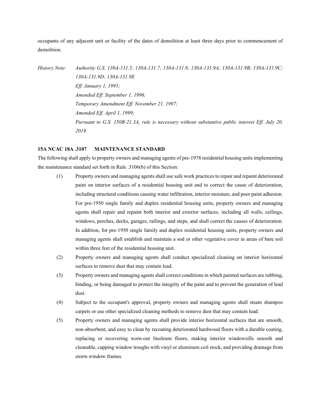occupants of any adjacent unit or facility of the dates of demolition at least three days prior to commencement of demolition.

*History Note: Authority G.S. 130A-131.5; 130A-131.7; 130A-131.8; 130A-131.9A; 130A-131.9B; 130A-131.9C; 130A-131.9D; 130A-131.9E Eff. January 1, 1995; Amended Eff. September 1, 1996; Temporary Amendment Eff. November 21, 1997; Amended Eff. April 1, 1999; Pursuant to G.S. 150B-21.3A, rule is necessary without substantive public interest Eff. July 20, 2019.*

#### **15A NCAC 18A .3107 MAINTENANCE STANDARD**

The following shall apply to property owners and managing agents of pre-1978 residential housing units implementing the maintenance standard set forth in Rule .3106(b) of this Section:

- (1) Property owners and managing agents shall use safe work practices to repair and repaint deteriorated paint on interior surfaces of a residential housing unit and to correct the cause of deterioration, including structural conditions causing water infiltration, interior moisture, and poor paint adhesion. For pre-1950 single family and duplex residential housing units, property owners and managing agents shall repair and repaint both interior and exterior surfaces, including all walls, ceilings, windows, porches, decks, garages, railings, and steps, and shall correct the causes of deterioration. In addition, for pre-1950 single family and duplex residential housing units, property owners and managing agents shall establish and maintain a sod or other vegetative cover in areas of bare soil within three feet of the residential housing unit.
- (2) Property owners and managing agents shall conduct specialized cleaning on interior horizontal surfaces to remove dust that may contain lead.
- (3) Property owners and managing agents shall correct conditions in which painted surfaces are rubbing, binding, or being damaged to protect the integrity of the paint and to prevent the generation of lead dust.
- (4) Subject to the occupant's approval, property owners and managing agents shall steam shampoo carpets or use other specialized cleaning methods to remove dust that may contain lead.
- (5) Property owners and managing agents shall provide interior horizontal surfaces that are smooth, non-absorbent, and easy to clean by recoating deteriorated hardwood floors with a durable coating, replacing or recovering worn-out linoleum floors, making interior windowsills smooth and cleanable, capping window troughs with vinyl or aluminum coil stock, and providing drainage from storm window frames.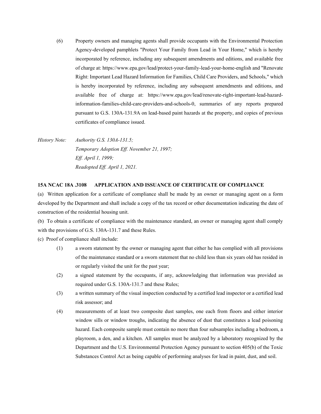(6) Property owners and managing agents shall provide occupants with the Environmental Protection Agency-developed pamphlets "Protect Your Family from Lead in Your Home," which is hereby incorporated by reference, including any subsequent amendments and editions, and available free of charge at: https://www.epa.gov/lead/protect-your-family-lead-your-home-english and "Renovate Right: Important Lead Hazard Information for Families, Child Care Providers, and Schools," which is hereby incorporated by reference, including any subsequent amendments and editions, and available free of charge at: https://www.epa.gov/lead/renovate-right-important-lead-hazardinformation-families-child-care-providers-and-schools-0, summaries of any reports prepared pursuant to G.S. 130A-131.9A on lead-based paint hazards at the property, and copies of previous certificates of compliance issued.

*History Note: Authority G.S. 130A-131.5; Temporary Adoption Eff. November 21, 1997; Eff. April 1, 1999; Readopted Eff. April 1, 2021.*

#### **15A NCAC 18A .3108 APPLICATION AND ISSUANCE OF CERTIFICATE OF COMPLIANCE**

(a) Written application for a certificate of compliance shall be made by an owner or managing agent on a form developed by the Department and shall include a copy of the tax record or other documentation indicating the date of construction of the residential housing unit.

(b) To obtain a certificate of compliance with the maintenance standard, an owner or managing agent shall comply with the provisions of G.S. 130A-131.7 and these Rules.

(c) Proof of compliance shall include:

- (1) a sworn statement by the owner or managing agent that either he has complied with all provisions of the maintenance standard or a sworn statement that no child less than six years old has resided in or regularly visited the unit for the past year;
- (2) a signed statement by the occupants, if any, acknowledging that information was provided as required under G.S. 130A-131.7 and these Rules;
- (3) a written summary of the visual inspection conducted by a certified lead inspector or a certified lead risk assessor; and
- (4) measurements of at least two composite dust samples, one each from floors and either interior window sills or window troughs, indicating the absence of dust that constitutes a lead poisoning hazard. Each composite sample must contain no more than four subsamples including a bedroom, a playroom, a den, and a kitchen. All samples must be analyzed by a laboratory recognized by the Department and the U.S. Environmental Protection Agency pursuant to section 405(b) of the Toxic Substances Control Act as being capable of performing analyses for lead in paint, dust, and soil.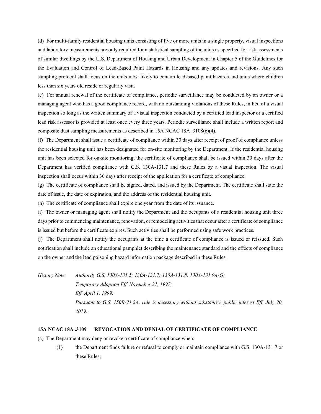(d) For multi-family residential housing units consisting of five or more units in a single property, visual inspections and laboratory measurements are only required for a statistical sampling of the units as specified for risk assessments of similar dwellings by the U.S. Department of Housing and Urban Development in Chapter 5 of the Guidelines for the Evaluation and Control of Lead-Based Paint Hazards in Housing and any updates and revisions. Any such sampling protocol shall focus on the units most likely to contain lead-based paint hazards and units where children less than six years old reside or regularly visit.

(e) For annual renewal of the certificate of compliance, periodic surveillance may be conducted by an owner or a managing agent who has a good compliance record, with no outstanding violations of these Rules, in lieu of a visual inspection so long as the written summary of a visual inspection conducted by a certified lead inspector or a certified lead risk assessor is provided at least once every three years. Periodic surveillance shall include a written report and composite dust sampling measurements as described in 15A NCAC 18A .3108(c)(4).

(f) The Department shall issue a certificate of compliance within 30 days after receipt of proof of compliance unless the residential housing unit has been designated for on-site monitoring by the Department. If the residential housing unit has been selected for on-site monitoring, the certificate of compliance shall be issued within 30 days after the Department has verified compliance with G.S. 130A-131.7 and these Rules by a visual inspection. The visual inspection shall occur within 30 days after receipt of the application for a certificate of compliance.

(g) The certificate of compliance shall be signed, dated, and issued by the Department. The certificate shall state the date of issue, the date of expiration, and the address of the residential housing unit.

(h) The certificate of compliance shall expire one year from the date of its issuance.

(i) The owner or managing agent shall notify the Department and the occupants of a residential housing unit three days prior to commencing maintenance, renovation, or remodeling activities that occur after a certificate of compliance is issued but before the certificate expires. Such activities shall be performed using safe work practices.

(j) The Department shall notify the occupants at the time a certificate of compliance is issued or reissued. Such notification shall include an educational pamphlet describing the maintenance standard and the effects of compliance on the owner and the lead poisoning hazard information package described in these Rules.

*History Note: Authority G.S. 130A-131.5; 130A-131.7; 130A-131.8; 130A-131.9A-G; Temporary Adoption Eff. November 21, 1997; Eff. April 1, 1999; Pursuant to G.S. 150B-21.3A, rule is necessary without substantive public interest Eff. July 20, 2019.*

#### **15A NCAC 18A .3109 REVOCATION AND DENIAL OF CERTIFICATE OF COMPLIANCE**

(a) The Department may deny or revoke a certificate of compliance when:

(1) the Department finds failure or refusal to comply or maintain compliance with G.S. 130A-131.7 or these Rules;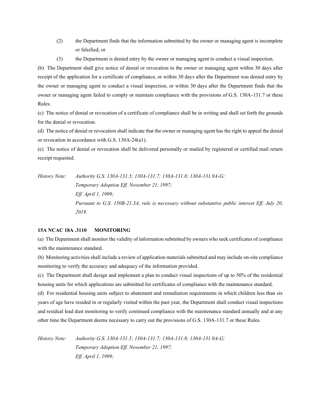- (2) the Department finds that the information submitted by the owner or managing agent is incomplete or falsified; or
- (3) the Department is denied entry by the owner or managing agent to conduct a visual inspection.

(b) The Department shall give notice of denial or revocation to the owner or managing agent within 30 days after receipt of the application for a certificate of compliance, or within 30 days after the Department was denied entry by the owner or managing agent to conduct a visual inspection, or within 30 days after the Department finds that the owner or managing agent failed to comply or maintain compliance with the provisions of G.S. 130A-131.7 or these Rules.

(c) The notice of denial or revocation of a certificate of compliance shall be in writing and shall set forth the grounds for the denial or revocation.

(d) The notice of denial or revocation shall indicate that the owner or managing agent has the right to appeal the denial or revocation in accordance with G.S. 130A-24(a1).

(e) The notice of denial or revocation shall be delivered personally or mailed by registered or certified mail return receipt requested.

*History Note: Authority G.S. 130A-131.5; 130A-131.7; 130A-131.8; 130A-131.9A-G; Temporary Adoption Eff. November 21, 1997; Eff. April 1, 1999; Pursuant to G.S. 150B-21.3A, rule is necessary without substantive public interest Eff. July 20, 2019.*

# **15A NCAC 18A .3110 MONITORING**

(a) The Department shall monitor the validity of information submitted by owners who seek certificates of compliance with the maintenance standard.

(b) Monitoring activities shall include a review of application materials submitted and may include on-site compliance monitoring to verify the accuracy and adequacy of the information provided.

(c) The Department shall design and implement a plan to conduct visual inspections of up to 50% of the residential housing units for which applications are submitted for certificates of compliance with the maintenance standard.

(d) For residential housing units subject to abatement and remediation requirements in which children less than six years of age have resided in or regularly visited within the past year, the Department shall conduct visual inspections and residual lead dust monitoring to verify continued compliance with the maintenance standard annually and at any other time the Department deems necessary to carry out the provisions of G.S. 130A-131.7 or these Rules.

*History Note: Authority G.S. 130A-131.5; 130A-131.7; 130A-131.8; 130A-131.9A-G; Temporary Adoption Eff. November 21, 1997; Eff. April 1, 1999;*